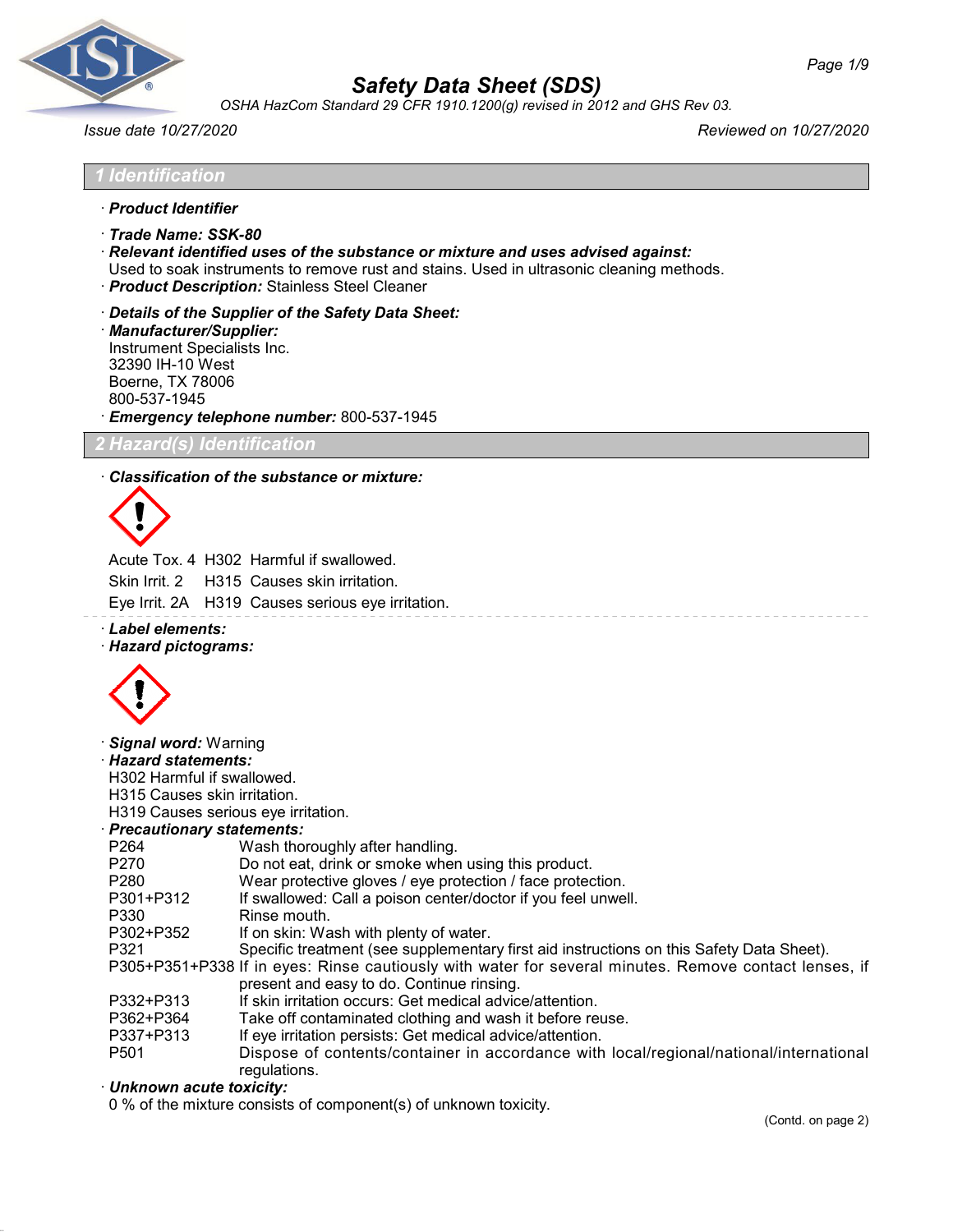

*OSHA HazCom Standard 29 CFR 1910.1200(g) revised in 2012 and GHS Rev 03.*

*Issue date 10/27/2020 Reviewed on 10/27/2020*

| 1 Identification                                                                                                                           |
|--------------------------------------------------------------------------------------------------------------------------------------------|
| · Product Identifier                                                                                                                       |
| · Trade Name: SSK-80                                                                                                                       |
| · Relevant identified uses of the substance or mixture and uses advised against:                                                           |
| Used to soak instruments to remove rust and stains. Used in ultrasonic cleaning methods.<br>· Product Description: Stainless Steel Cleaner |
| Details of the Supplier of the Safety Data Sheet:                                                                                          |

· *Manufacturer/Supplier:* Instrument Specialists Inc. 32390 IH-10 West Boerne, TX 78006 800-537-1945 · *Emergency telephone number:* 800-537-1945

*2 Hazard(s) Identification*

#### · *Classification of the substance or mixture:*



Acute Tox. 4 H302 Harmful if swallowed.

Skin Irrit. 2 H315 Causes skin irritation.

- Eye Irrit. 2A H319 Causes serious eye irritation.
- · *Label elements:*
- · *Hazard pictograms:*



· *Signal word:* Warning

· *Hazard statements:*

H302 Harmful if swallowed.

H315 Causes skin irritation.

H319 Causes serious eye irritation.

- · *Precautionary statements:*
- P264 Wash thoroughly after handling.<br>P270 Do not eat. drink or smoke when
- P270 Do not eat, drink or smoke when using this product.<br>P280 Wear protective gloves / eye protection / face protec
- Wear protective gloves / eye protection / face protection.
- P301+P312 If swallowed: Call a poison center/doctor if you feel unwell.
- P330 Rinse mouth.<br>P302+P352 If on skin: Wa
- P302+P352 If on skin: Wash with plenty of water.<br>P321 Specific treatment (see supplementar

Specific treatment (see supplementary first aid instructions on this Safety Data Sheet).

- P305+P351+P338 If in eyes: Rinse cautiously with water for several minutes. Remove contact lenses, if present and easy to do. Continue rinsing.
- P332+P313 If skin irritation occurs: Get medical advice/attention.
- P362+P364 Take off contaminated clothing and wash it before reuse.<br>P337+P313 If eve irritation persists: Get medical advice/attention.
- P337+P313 If eye irritation persists: Get medical advice/attention.
- Dispose of contents/container in accordance with local/regional/national/international regulations.

# · *Unknown acute toxicity:*

0 % of the mixture consists of component(s) of unknown toxicity.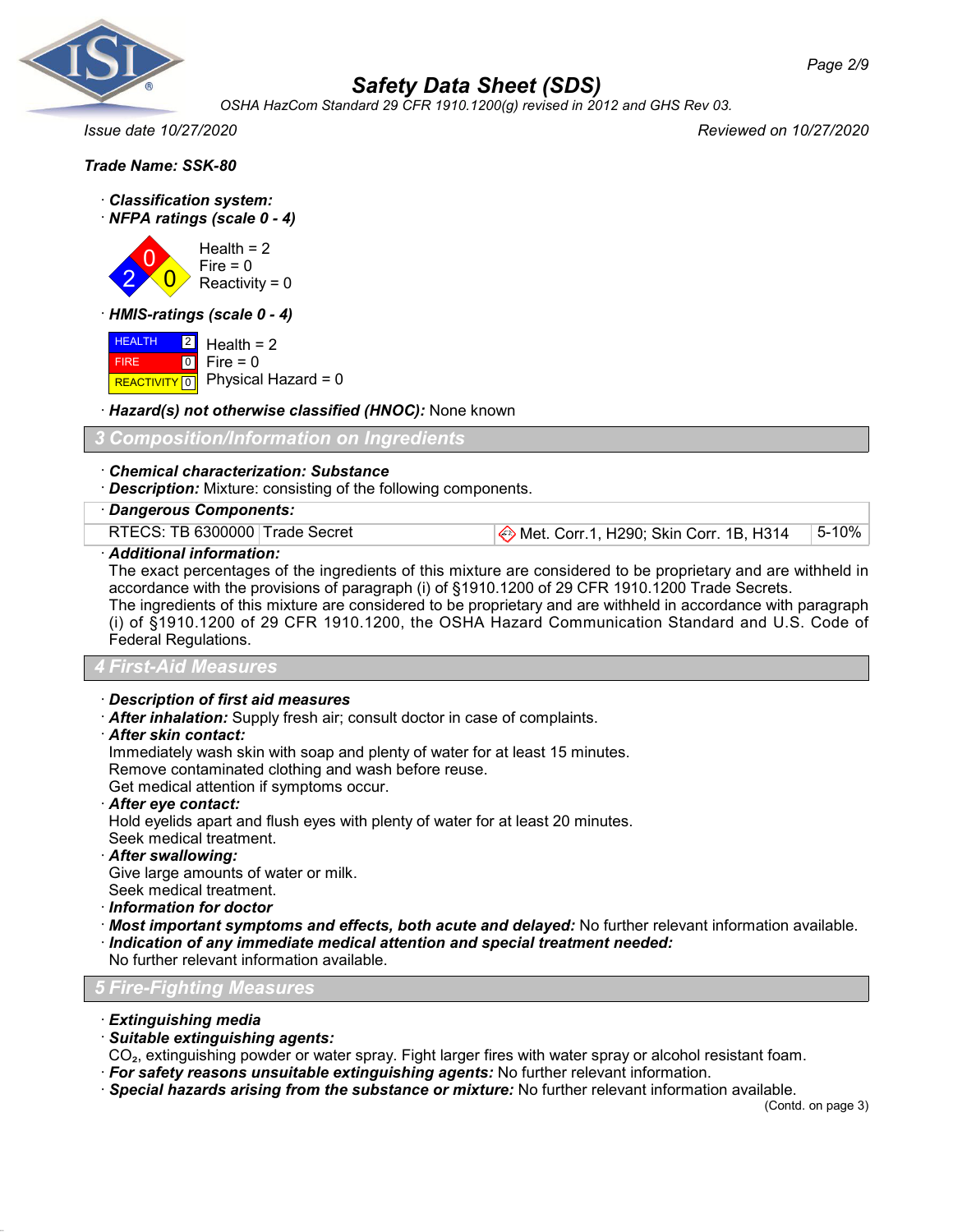

*OSHA HazCom Standard 29 CFR 1910.1200(g) revised in 2012 and GHS Rev 03.*

*Issue date 10/27/2020 Reviewed on 10/27/2020*

|  |  | Trade Name: SSK-80 |
|--|--|--------------------|
|--|--|--------------------|

· *Classification system:* · *NFPA ratings (scale 0 - 4)*

2 0  $\overline{0}$ Health  $= 2$  $Fire = 0$ Reactivity =  $0$ 

· *HMIS-ratings (scale 0 - 4)*

 HEALTH FIRE REACTIVITY 0 Physical Hazard = 0 2  $\boxed{0}$ Health  $= 2$  $Fire = 0$ 

· *Hazard(s) not otherwise classified (HNOC):* None known

# *3 Composition/Information on Ingredients*

### · *Chemical characterization: Substance*

· *Description:* Mixture: consisting of the following components.

# · *Dangerous Components:*

RTECS: TB 6300000 Trade Secret **Met. Corr. 1, H290; Skin Corr. 1B, H314** 5-10%

### · *Additional information:*

The exact percentages of the ingredients of this mixture are considered to be proprietary and are withheld in accordance with the provisions of paragraph (i) of §1910.1200 of 29 CFR 1910.1200 Trade Secrets. The ingredients of this mixture are considered to be proprietary and are withheld in accordance with paragraph (i) of §1910.1200 of 29 CFR 1910.1200, the OSHA Hazard Communication Standard and U.S. Code of Federal Regulations.

#### *4 First-Aid Measures*

- · *Description of first aid measures*
- · *After inhalation:* Supply fresh air; consult doctor in case of complaints.
- · *After skin contact:*

Immediately wash skin with soap and plenty of water for at least 15 minutes.

Remove contaminated clothing and wash before reuse.

Get medical attention if symptoms occur.

· *After eye contact:*

Hold eyelids apart and flush eyes with plenty of water for at least 20 minutes. Seek medical treatment.

· *After swallowing:*

Give large amounts of water or milk. Seek medical treatment.

- · *Information for doctor*
- 
- · *Most important symptoms and effects, both acute and delayed:* No further relevant information available. · *Indication of any immediate medical attention and special treatment needed:*

No further relevant information available.

# *5 Fire-Fighting Measures*

· *Extinguishing media*

· *Suitable extinguishing agents:*

CO₂, extinguishing powder or water spray. Fight larger fires with water spray or alcohol resistant foam.

- · *For safety reasons unsuitable extinguishing agents:* No further relevant information.
- · *Special hazards arising from the substance or mixture:* No further relevant information available.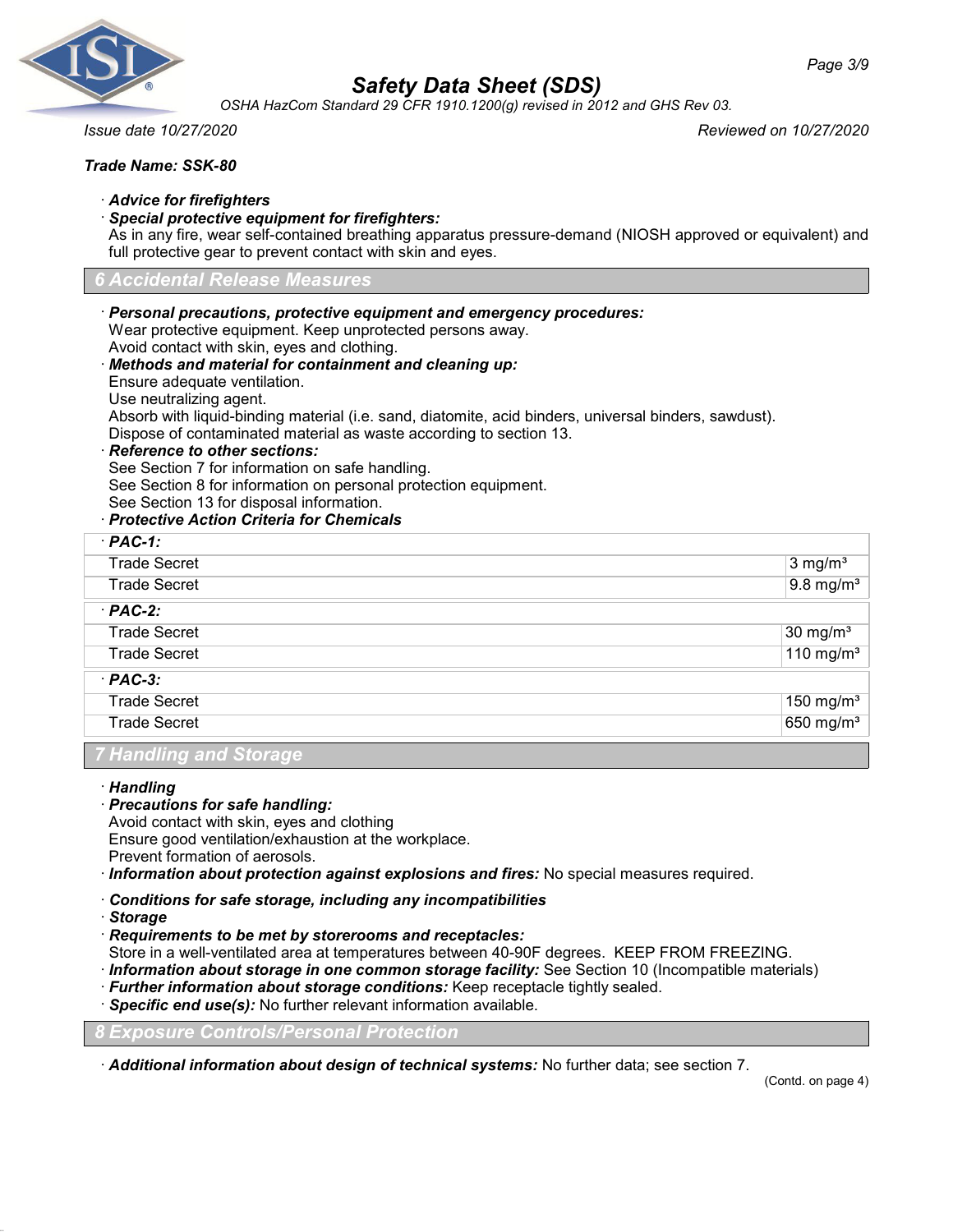

*OSHA HazCom Standard 29 CFR 1910.1200(g) revised in 2012 and GHS Rev 03.*

*Issue date 10/27/2020 Reviewed on 10/27/2020*

# *Trade Name: SSK-80*

- · *Advice for firefighters*
- · *Special protective equipment for firefighters:*

As in any fire, wear self-contained breathing apparatus pressure-demand (NIOSH approved or equivalent) and full protective gear to prevent contact with skin and eyes.

### *6 Accidental Release Measures*

- · *Personal precautions, protective equipment and emergency procedures:* Wear protective equipment. Keep unprotected persons away. Avoid contact with skin, eyes and clothing. · *Methods and material for containment and cleaning up:* Ensure adequate ventilation. Use neutralizing agent. Absorb with liquid-binding material (i.e. sand, diatomite, acid binders, universal binders, sawdust). Dispose of contaminated material as waste according to section 13.
- · *Reference to other sections:*

See Section 7 for information on safe handling.

See Section 8 for information on personal protection equipment.

See Section 13 for disposal information.

# · *Protective Action Criteria for Chemicals*

| $·$ PAC-1:          |                         |
|---------------------|-------------------------|
| <b>Trade Secret</b> | $3 \text{ mg/m}^3$      |
| <b>Trade Secret</b> | $9.8 \text{ mg/m}^3$    |
| $·$ PAC-2:          |                         |
| <b>Trade Secret</b> | 30 mg/m <sup>3</sup>    |
| <b>Trade Secret</b> | $110$ mg/m <sup>3</sup> |
| $·$ PAC-3:          |                         |
| <b>Trade Secret</b> | 150 mg/m <sup>3</sup>   |
| <b>Trade Secret</b> | 650 mg/m <sup>3</sup>   |

# *7 Handling and Storage*

#### · *Handling*

· *Precautions for safe handling:*

Avoid contact with skin, eyes and clothing Ensure good ventilation/exhaustion at the workplace.

Prevent formation of aerosols.

- · *Information about protection against explosions and fires:* No special measures required.
- · *Conditions for safe storage, including any incompatibilities*
- · *Storage*
- · *Requirements to be met by storerooms and receptacles:*

Store in a well-ventilated area at temperatures between 40-90F degrees. KEEP FROM FREEZING.

- · *Information about storage in one common storage facility:* See Section 10 (Incompatible materials)
- · *Further information about storage conditions:* Keep receptacle tightly sealed.
- · *Specific end use(s):* No further relevant information available.

*8 Exposure Controls/Personal Protection*

· *Additional information about design of technical systems:* No further data; see section 7.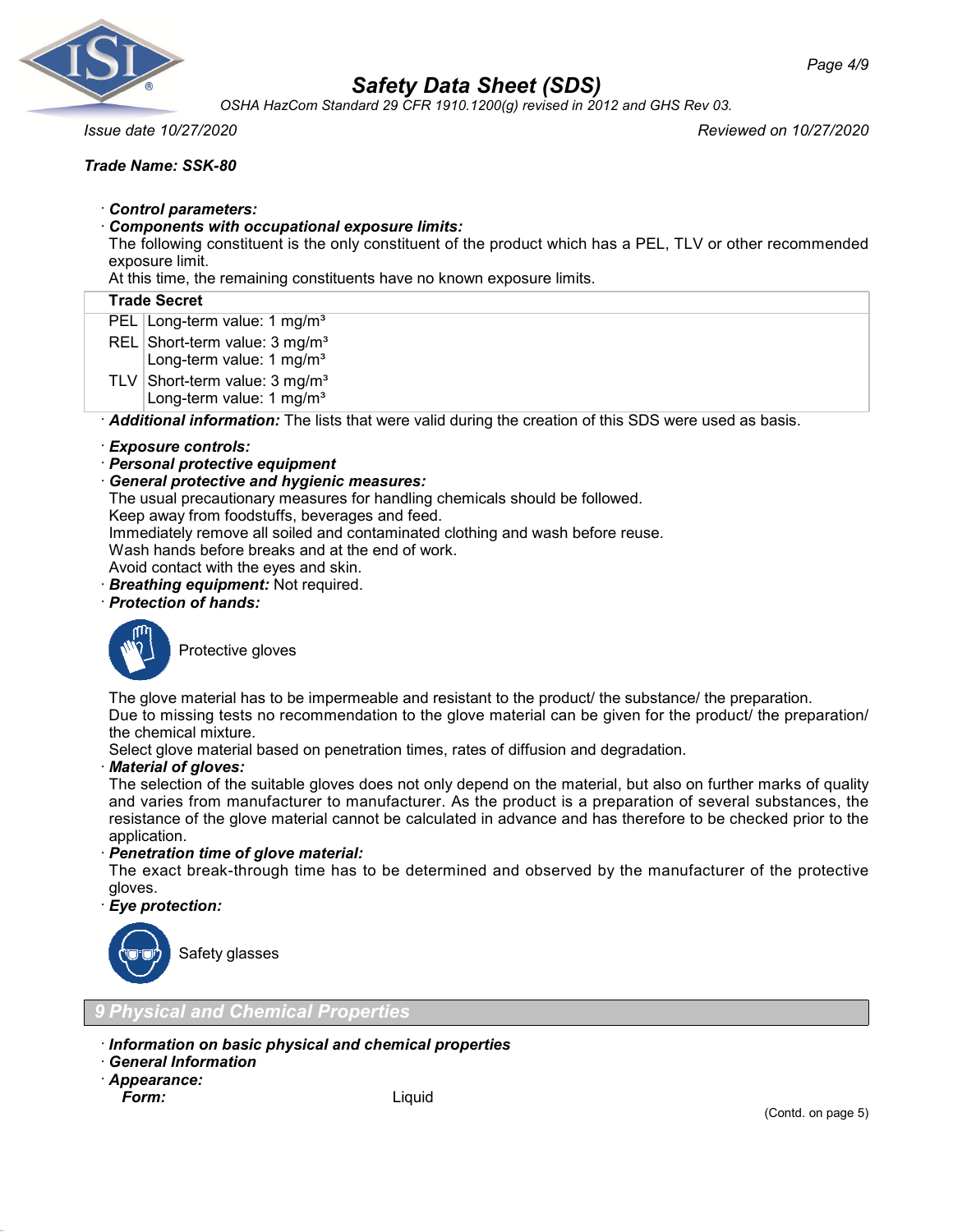

*OSHA HazCom Standard 29 CFR 1910.1200(g) revised in 2012 and GHS Rev 03.*

*Issue date 10/27/2020 Reviewed on 10/27/2020*

# *Trade Name: SSK-80*

- · *Control parameters:*
- · *Components with occupational exposure limits:*

The following constituent is the only constituent of the product which has a PEL, TLV or other recommended exposure limit.

At this time, the remaining constituents have no known exposure limits.

### **Trade Secret**

- PEL Long-term value: 1 mg/m<sup>3</sup>
- REL Short-term value: 3 mg/m<sup>3</sup>
- Long-term value: 1 mg/m<sup>3</sup>
- TLV Short-term value:  $3 \text{ mg/m}^3$ Long-term value: 1 mg/m<sup>3</sup>

· *Additional information:* The lists that were valid during the creation of this SDS were used as basis.

### · *Exposure controls:*

- · *Personal protective equipment*
- · *General protective and hygienic measures:*

The usual precautionary measures for handling chemicals should be followed.

Keep away from foodstuffs, beverages and feed.

Immediately remove all soiled and contaminated clothing and wash before reuse.

Wash hands before breaks and at the end of work.

- Avoid contact with the eyes and skin.
- · *Breathing equipment:* Not required.

# · *Protection of hands:*



Protective gloves

The glove material has to be impermeable and resistant to the product/ the substance/ the preparation.

Due to missing tests no recommendation to the glove material can be given for the product/ the preparation/ the chemical mixture.

Select glove material based on penetration times, rates of diffusion and degradation.

#### · *Material of gloves:*

The selection of the suitable gloves does not only depend on the material, but also on further marks of quality and varies from manufacturer to manufacturer. As the product is a preparation of several substances, the resistance of the glove material cannot be calculated in advance and has therefore to be checked prior to the application.

· *Penetration time of glove material:*

The exact break-through time has to be determined and observed by the manufacturer of the protective gloves.

· *Eye protection:*



Safety glasses

*9 Physical and Chemical Properties*

- · *Information on basic physical and chemical properties*
- · *General Information*
- · *Appearance:*

Liquid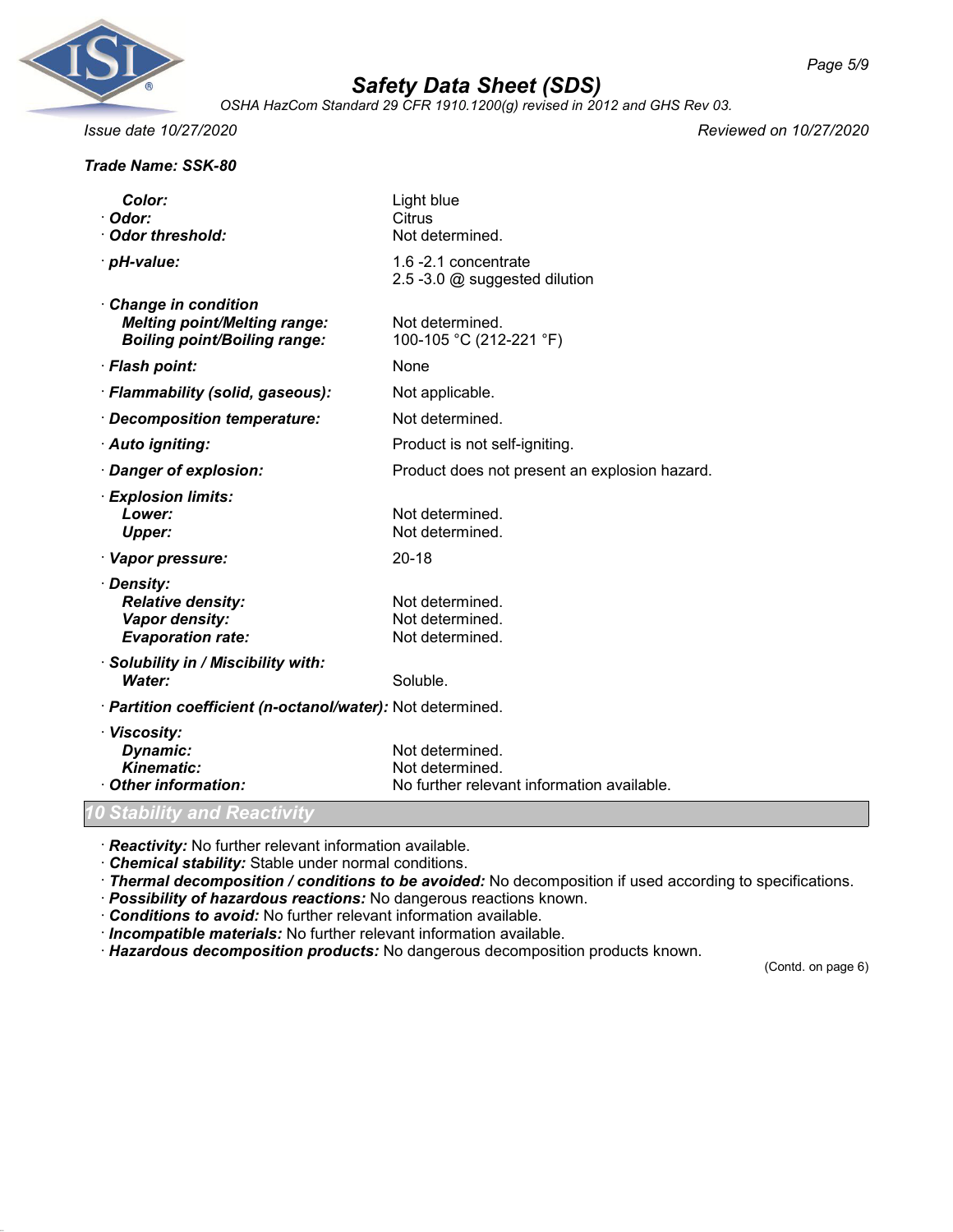

*OSHA HazCom Standard 29 CFR 1910.1200(g) revised in 2012 and GHS Rev 03.*

## *Trade Name: SSK-80*

*Issue date 10/27/2020 Reviewed on 10/27/2020*

| Color:                                                                                                   | Light blue                                            |
|----------------------------------------------------------------------------------------------------------|-------------------------------------------------------|
| Odor:                                                                                                    | Citrus                                                |
| Odor threshold:                                                                                          | Not determined.                                       |
| · pH-value:                                                                                              | 1.6 -2.1 concentrate<br>2.5 -3.0 @ suggested dilution |
| <b>Change in condition</b><br><b>Melting point/Melting range:</b><br><b>Boiling point/Boiling range:</b> | Not determined.<br>100-105 °C (212-221 °F)            |
|                                                                                                          |                                                       |
| · Flash point:                                                                                           | None                                                  |
| · Flammability (solid, gaseous):                                                                         | Not applicable.                                       |
| · Decomposition temperature:                                                                             | Not determined.                                       |
| · Auto igniting:                                                                                         | Product is not self-igniting.                         |
| · Danger of explosion:                                                                                   | Product does not present an explosion hazard.         |
| · Explosion limits:                                                                                      |                                                       |
| Lower:                                                                                                   | Not determined.                                       |
| <b>Upper:</b>                                                                                            | Not determined.                                       |
| · Vapor pressure:                                                                                        | $20 - 18$                                             |
| · Density:                                                                                               |                                                       |
| <b>Relative density:</b>                                                                                 | Not determined.                                       |
| Vapor density:                                                                                           | Not determined.                                       |
| <b>Evaporation rate:</b>                                                                                 | Not determined.                                       |
| · Solubility in / Miscibility with:                                                                      |                                                       |
| Water:                                                                                                   | Soluble.                                              |
| · Partition coefficient (n-octanol/water): Not determined.                                               |                                                       |
| · Viscosity:                                                                                             |                                                       |
| Dynamic:                                                                                                 | Not determined.                                       |
| <b>Kinematic:</b>                                                                                        | Not determined.                                       |
| Other information:                                                                                       | No further relevant information available.            |

· *Reactivity:* No further relevant information available.

· *Chemical stability:* Stable under normal conditions.

· *Thermal decomposition / conditions to be avoided:* No decomposition if used according to specifications.

· *Possibility of hazardous reactions:* No dangerous reactions known.

· *Conditions to avoid:* No further relevant information available.

· *Incompatible materials:* No further relevant information available.

· *Hazardous decomposition products:* No dangerous decomposition products known.

(Contd. on page 6)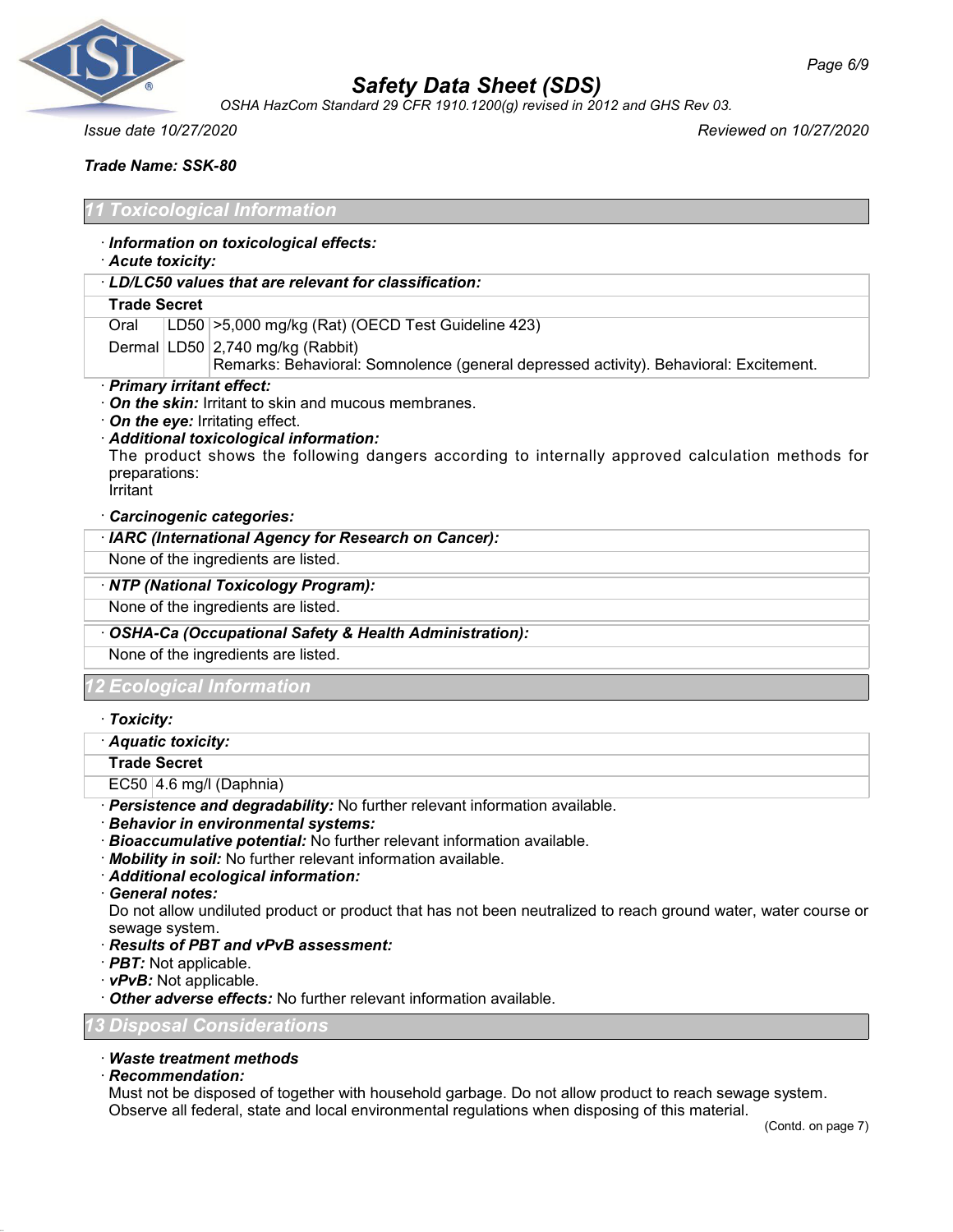

*OSHA HazCom Standard 29 CFR 1910.1200(g) revised in 2012 and GHS Rev 03.*

*Issue date 10/27/2020 Reviewed on 10/27/2020*

*Trade Name: SSK-80*

## *11 Toxicological Information*

- · *Information on toxicological effects:*
- · *Acute toxicity:*
- · *LD/LC50 values that are relevant for classification:*

#### **Trade Secret**

Oral LD50 >5,000 mg/kg (Rat) (OECD Test Guideline 423)

- Dermal LD50 2,740 mg/kg (Rabbit)
	- Remarks: Behavioral: Somnolence (general depressed activity). Behavioral: Excitement.
- · *Primary irritant effect:*
- · *On the skin:* Irritant to skin and mucous membranes.
- · *On the eye:* Irritating effect.
- · *Additional toxicological information:* The product shows the following dangers according to internally approved calculation methods for preparations: Irritant

#### · *Carcinogenic categories:*

· *IARC (International Agency for Research on Cancer):*

None of the ingredients are listed.

#### · *NTP (National Toxicology Program):*

None of the ingredients are listed.

· *OSHA-Ca (Occupational Safety & Health Administration):*

None of the ingredients are listed.

*12 Ecological Information*

· *Toxicity:*

· *Aquatic toxicity:*

**Trade Secret**

 $EC50 | 4.6$  mg/l (Daphnia)

- · *Persistence and degradability:* No further relevant information available.
- · *Behavior in environmental systems:*
- · *Bioaccumulative potential:* No further relevant information available.
- · *Mobility in soil:* No further relevant information available.
- · *Additional ecological information:*
- · *General notes:*

Do not allow undiluted product or product that has not been neutralized to reach ground water, water course or sewage system.

- · *Results of PBT and vPvB assessment:*
- · *PBT:* Not applicable.
- · *vPvB:* Not applicable.
- · *Other adverse effects:* No further relevant information available.

#### *13 Disposal Considerations*

#### · *Waste treatment methods*

· *Recommendation:*

Must not be disposed of together with household garbage. Do not allow product to reach sewage system. Observe all federal, state and local environmental regulations when disposing of this material.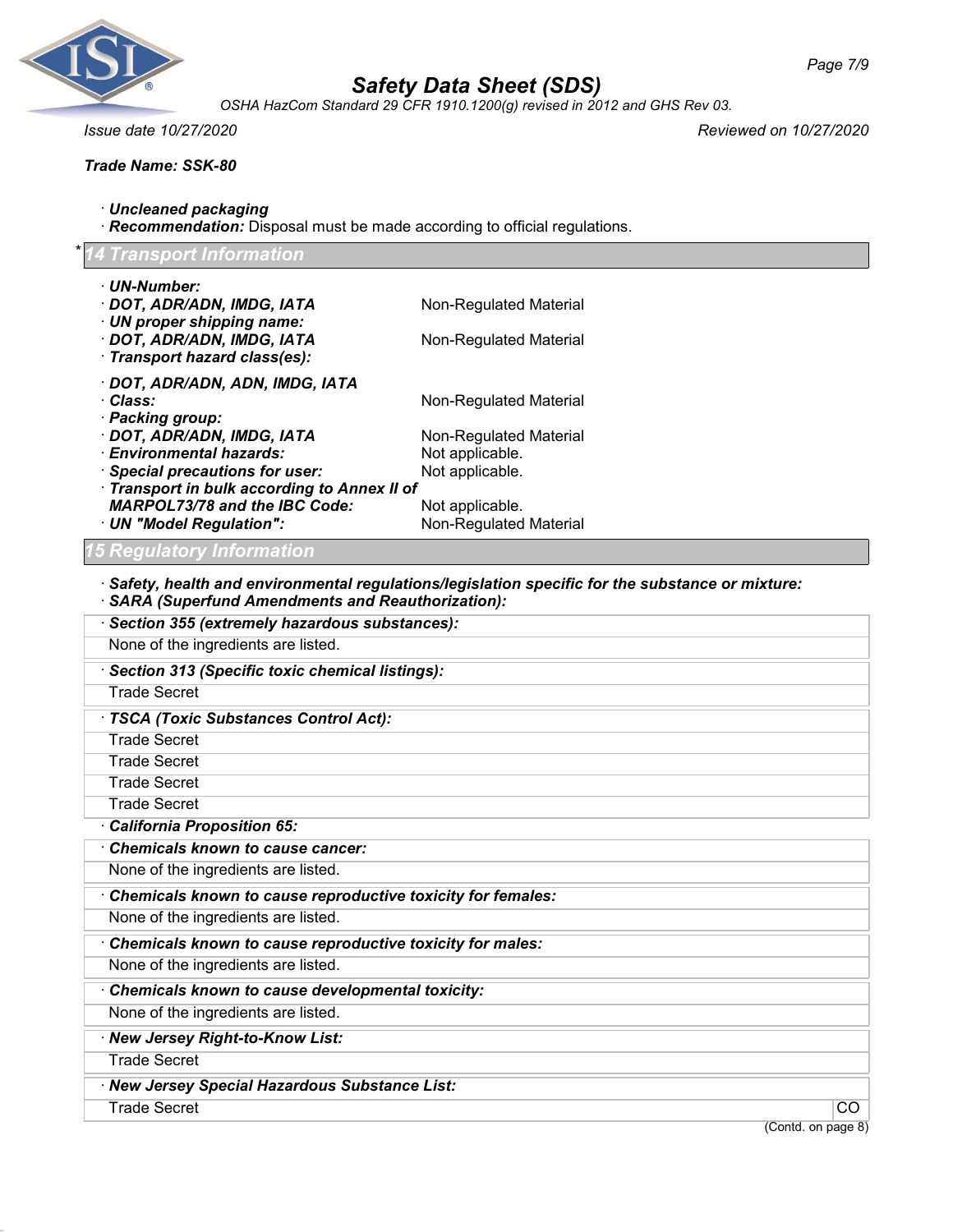

*OSHA HazCom Standard 29 CFR 1910.1200(g) revised in 2012 and GHS Rev 03.*

*Trade Name: SSK-80*

*Issue date 10/27/2020 Reviewed on 10/27/2020*

| $\cdot$ Uncleaned packaging                                              |  |
|--------------------------------------------------------------------------|--|
| Recommendation: Disposal must be made according to official regulations. |  |

#### \* *14 Transport Information*

| · UN-Number:<br>· DOT, ADR/ADN, IMDG, IATA                                         | Non-Regulated Material                                                                                  |
|------------------------------------------------------------------------------------|---------------------------------------------------------------------------------------------------------|
| · UN proper shipping name:                                                         |                                                                                                         |
| · DOT, ADR/ADN, IMDG, IATA                                                         | Non-Regulated Material                                                                                  |
| · Transport hazard class(es):                                                      |                                                                                                         |
| · DOT, ADR/ADN, ADN, IMDG, IATA<br>· Class:                                        |                                                                                                         |
| · Packing group:                                                                   | Non-Regulated Material                                                                                  |
| · DOT, ADR/ADN, IMDG, IATA                                                         | Non-Regulated Material                                                                                  |
| · Environmental hazards:                                                           | Not applicable.                                                                                         |
| <b>Special precautions for user:</b><br>Transport in bulk according to Annex II of | Not applicable.                                                                                         |
| <b>MARPOL73/78 and the IBC Code:</b>                                               | Not applicable.                                                                                         |
| · UN "Model Regulation":                                                           | Non-Regulated Material                                                                                  |
| '5 Regulatory Information                                                          |                                                                                                         |
| <b>SARA (Superfund Amendments and Reauthorization):</b>                            | $\cdot$ Safety, health and environmental regulations/legislation specific for the substance or mixture: |
| · Section 355 (extremely hazardous substances):                                    |                                                                                                         |
| None of the ingredients are listed.                                                |                                                                                                         |
| · Section 313 (Specific toxic chemical listings):                                  |                                                                                                         |
| <b>Trade Secret</b>                                                                |                                                                                                         |
| · TSCA (Toxic Substances Control Act):                                             |                                                                                                         |
| <b>Trade Secret</b>                                                                |                                                                                                         |
| <b>Trade Secret</b>                                                                |                                                                                                         |
| <b>Trade Secret</b>                                                                |                                                                                                         |
| <b>Trade Secret</b>                                                                |                                                                                                         |
| California Proposition 65:                                                         |                                                                                                         |
| Chemicals known to cause cancer:                                                   |                                                                                                         |
| None of the ingredients are listed.                                                |                                                                                                         |
| Chemicals known to cause reproductive toxicity for females:                        |                                                                                                         |
| None of the ingredients are listed.                                                |                                                                                                         |
| Chemicals known to cause reproductive toxicity for males:                          |                                                                                                         |
| None of the ingredients are listed.                                                |                                                                                                         |
| Chemicals known to cause developmental toxicity:                                   |                                                                                                         |
| None of the ingredients are listed.                                                |                                                                                                         |
| · New Jersey Right-to-Know List:                                                   |                                                                                                         |
| <b>Trade Secret</b>                                                                |                                                                                                         |
| · New Jersey Special Hazardous Substance List:                                     |                                                                                                         |
| <b>Trade Secret</b>                                                                | CO                                                                                                      |
|                                                                                    | (Contd. on page 8)                                                                                      |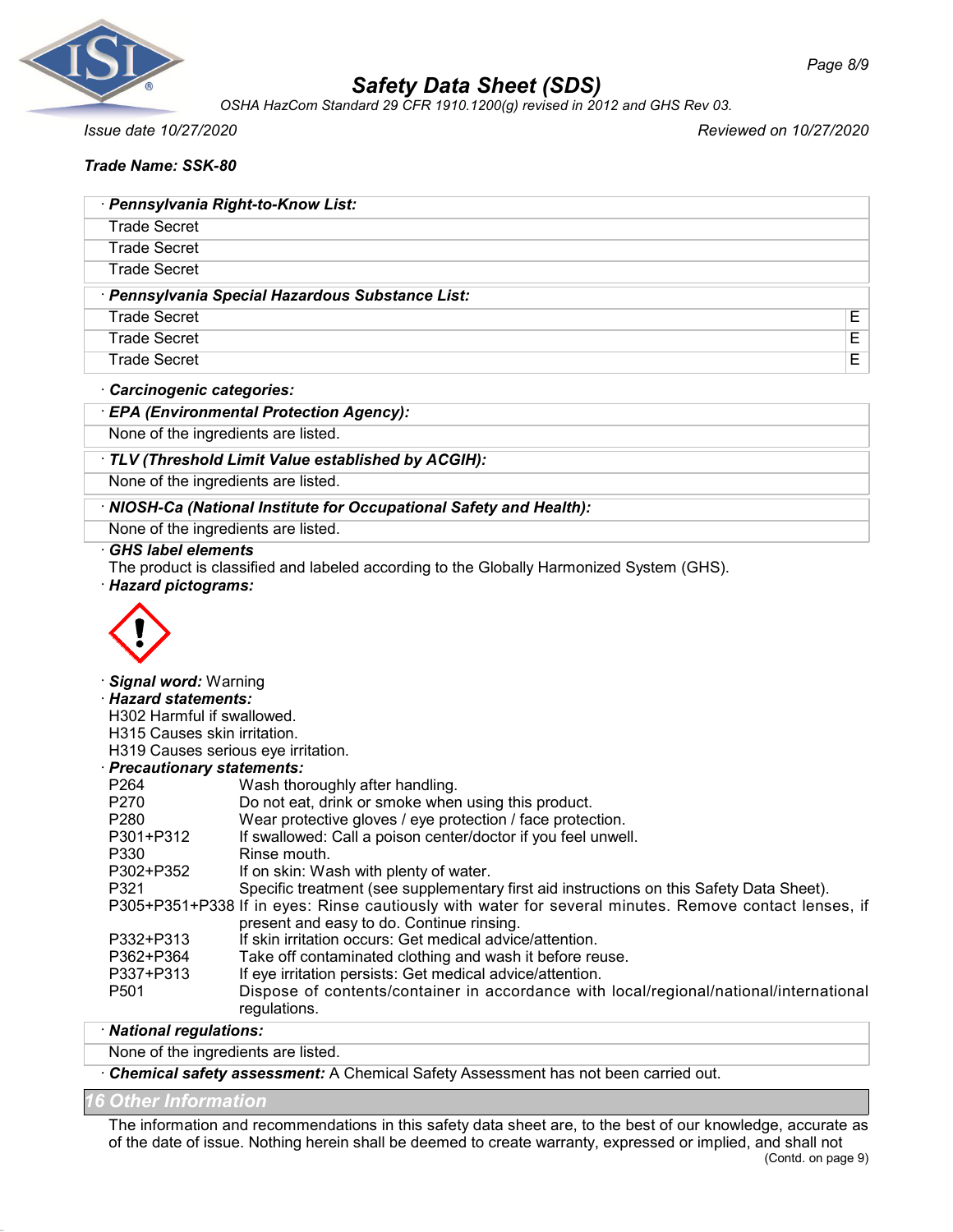

*OSHA HazCom Standard 29 CFR 1910.1200(g) revised in 2012 and GHS Rev 03.*

*Issue date 10/27/2020 Reviewed on 10/27/2020*

# *Trade Name: SSK-80*

| · Pennsylvania Right-to-Know List:             |   |
|------------------------------------------------|---|
| <b>Trade Secret</b>                            |   |
| <b>Trade Secret</b>                            |   |
| <b>Trade Secret</b>                            |   |
|                                                |   |
| Pennsylvania Special Hazardous Substance List: |   |
| <b>Trade Secret</b>                            | Е |
| <b>Trade Secret</b>                            | E |
| <b>Trade Secret</b>                            | E |

#### · *Carcinogenic categories:*

### · *EPA (Environmental Protection Agency):*

None of the ingredients are listed.

### · *TLV (Threshold Limit Value established by ACGIH):*

None of the ingredients are listed.

### · *NIOSH-Ca (National Institute for Occupational Safety and Health):*

None of the ingredients are listed.

#### · *GHS label elements*

The product is classified and labeled according to the Globally Harmonized System (GHS).

· *Hazard pictograms:*



#### · *Signal word:* Warning

· *Hazard statements:*

H302 Harmful if swallowed.

H315 Causes skin irritation.

H319 Causes serious eye irritation.

### · *Precautionary statements:*

| P <sub>264</sub> | Wash thoroughly after handling.                                                                                                                    |
|------------------|----------------------------------------------------------------------------------------------------------------------------------------------------|
| P <sub>270</sub> | Do not eat, drink or smoke when using this product.                                                                                                |
| P <sub>280</sub> | Wear protective gloves / eye protection / face protection.                                                                                         |
| P301+P312        | If swallowed: Call a poison center/doctor if you feel unwell.                                                                                      |
| P330             | Rinse mouth.                                                                                                                                       |
| P302+P352        | If on skin: Wash with plenty of water.                                                                                                             |
| P321             | Specific treatment (see supplementary first aid instructions on this Safety Data Sheet).                                                           |
|                  | P305+P351+P338 If in eyes: Rinse cautiously with water for several minutes. Remove contact lenses, if<br>present and easy to do. Continue rinsing. |
| P332+P313        | If skin irritation occurs: Get medical advice/attention.                                                                                           |
| P362+P364        | Take off contaminated clothing and wash it before reuse.                                                                                           |
| P337+P313        | If eye irritation persists: Get medical advice/attention.                                                                                          |
| P <sub>501</sub> | Dispose of contents/container in accordance with local/regional/national/international<br>regulations.                                             |

#### · *National regulations:*

# None of the ingredients are listed.

· *Chemical safety assessment:* A Chemical Safety Assessment has not been carried out.

# *16 Other Information*

The information and recommendations in this safety data sheet are, to the best of our knowledge, accurate as of the date of issue. Nothing herein shall be deemed to create warranty, expressed or implied, and shall not